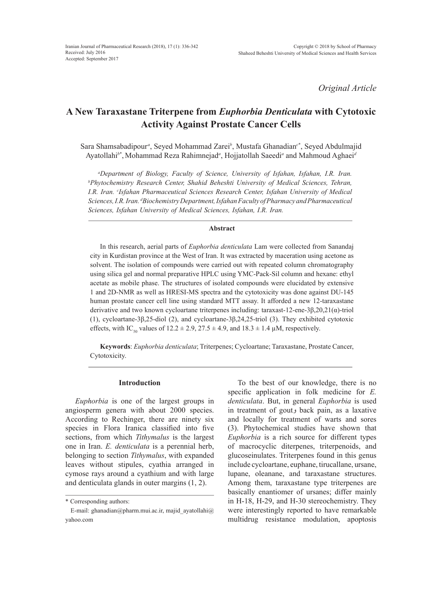*Original Article*

# **A New Taraxastane Triterpene from** *Euphorbia Denticulata* **with Cytotoxic Activity Against Prostate Cancer Cells**

Sara Shamsabadipour*<sup>a</sup>* , Seyed Mohammad Zarei*<sup>b</sup>* , Mustafa Ghanadian*<sup>c</sup>*\* , Seyed Abdulmajid Ayatollahi<sup>b\*</sup>, Mohammad Reza Rahimnejad<sup>a</sup>, Hojjatollah Saeedi<sup>a</sup> and Mahmoud Aghaei<sup>a</sup>

*a Department of Biology, Faculty of Science, University of Isfahan, Isfahan, I.R. Iran. b Phytochemistry Research Center, Shahid Beheshti University of Medical Sciences, Tehran, I.R. Iran. c Isfahan Pharmaceutical Sciences Research Center, Isfahan University of Medical Sciences, I.R. Iran. d Biochemistry Department, Isfahan Faculty of Pharmacy and Pharmaceutical Sciences, Isfahan University of Medical Sciences, Isfahan, I.R. Iran.*

## **Abstract**

In this research, aerial parts of *Euphorbia denticulata* Lam were collected from Sanandaj city in Kurdistan province at the West of Iran. It was extracted by maceration using acetone as solvent. The isolation of compounds were carried out with repeated column chromatography using silica gel and normal preparative HPLC using YMC-Pack-Sil column and hexane: ethyl acetate as mobile phase. The structures of isolated compounds were elucidated by extensive 1 and 2D-NMR as well as HRESI-MS spectra and the cytotoxicity was done against DU-145 human prostate cancer cell line using standard MTT assay. It afforded a new 12-taraxastane derivative and two known cycloartane triterpenes including: taraxast-12-ene-3β,20,21(α)-triol (1), cycloartane-3β,25-diol (2), and cycloartane-3β,24,25-triol (3). They exhibited cytotoxic effects, with IC<sub>50</sub> values of  $12.2 \pm 2.9$ ,  $27.5 \pm 4.9$ , and  $18.3 \pm 1.4$  µM, respectively.

**Keywords**: *Euphorbia denticulata*; Triterpenes; Cycloartane; Taraxastane, Prostate Cancer, Cytotoxicity.

## **Introduction**

*Euphorbia* is one of the largest groups in angiosperm genera with about 2000 species. According to Rechinger, there are ninety six species in Flora Iranica classified into five sections, from which *Tithymalus* is the largest one in Iran. *E. denticulata* is a perennial herb, belonging to section *Tithymalus*, with expanded leaves without stipules, cyathia arranged in cymose rays around a cyathium and with large and denticulata glands in outer margins (1, 2).

To the best of our knowledge, there is no specific application in folk medicine for *E. denticulata*. But, in general *Euphorbia* is used in treatment of goutو back pain, as a laxative and locally for treatment of warts and sores (3). Phytochemical studies have shown that *Euphorbia* is a rich source for different types of macrocyclic diterpenes, triterpenoids, and glucoseinulates. Triterpenes found in this genus include cycloartane, euphane, tirucallane, ursane, lupane, oleanane, and taraxastane structures. Among them, taraxastane type triterpenes are basically enantiomer of ursanes; differ mainly in H-18, H-29, and H-30 stereochemistry. They were interestingly reported to have remarkable multidrug resistance modulation, apoptosis

<sup>\*</sup> Corresponding authors:

E-mail: ghanadian@pharm.mui.ac.ir, majid ayatollahi@ yahoo.com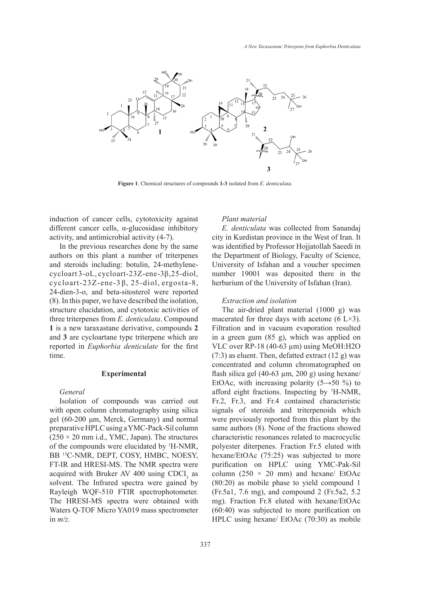

**Figure 1Figure 1**. Chemical structures of compounds **1-3** isolated from *E. denticulata.* . Chemical structures of compounds **1-3** isolated from *E. denticulata*

induction of cancer cells, cytotoxicity against *Plant material* different cancer cells,  $\alpha$ -glucosidase inhibitory activity, and antimicrobial activity (4-7).

In the previous researches done by the same authors on this plant a number of triterpenes the Department of Biolog and steroids including: botulin, 24-methylenecycloart 3-oL, cycloart-23Z-ene-3β,25-diol, cycloart-23Z-ene-3 β, 25-diol, ergosta-8, 24-dien-3-o, and beta-sitosterol were reported  $(8)$ . In this paper, we have described the isolation, *Extraction and isolation* structure elucidation, and cytotoxic activities of The air-dried plant material three triterpenes from *E. denticulata*. Compound **1** is a new taraxastane derivative, compounds **2** Filtration and in vacuum and **3** are cycloartane type triterpene which are erected in *Euphorbia denticulate* for the first time.

## **Experimental**

## *General*

Isolation of compounds was carried out with open column chromatography using silica gel (60-200 μm, Merck, Germany) and normal preparative HPLC using a YMC-Pack-Sil column  $(250 \times 20 \text{ mm } i.d., YMC, Japan)$ . The structures of the compounds were elucidated by 1 H-NMR, BB 13C-NMR, DEPT, COSY, HMBC, NOESY, FT-IR and HRESI-MS. The NMR spectra were acquired with Bruker AV 400 using  $CDCI<sub>3</sub>$  as solvent. The Infrared spectra were gained by Rayleigh WQF-510 FTIR spectrophotometer. The HRESI-MS spectra were obtained with Waters Q-TOF Micro YA019 mass spectrometer in *m/z*.

## *Plant material*

*E. denticulata* was collected from Sanandaj city in Kurdistan province in the West of Iran. It was identified by Professor Hojjatollah Saeedi in the Department of Biology, Faculty of Science, cluding: botulin, 24-methylene-<br>University of Isfahan and a voucher specimen cycloart-23Z-ene-3β,25-diol, number 19001 was deposited there in the lene-3β, 25-diol, ergosta-8, herbarium of the University of Isfahan (Iran).

## *Extraction and isolation*

The air-dried plant material (1000 g) was from *E. denticulata*. Compound macerated for three days with acetone  $(6 L \times 3)$ . Filtration and in vacuum evaporation resulted in a green gum (85 g), which was applied on VLC over RP-18 (40-63 µm) using MeOH:H2O (7:3) as eluent. Then, defatted extract (12 g) was concentrated and column chromatographed on Experimental *flash silica gel*  $(40-63 \mu m, 200 \mu)$  using hexane/ EtOAc, with increasing polarity  $(5 \rightarrow 50$  %) to afford eight fractions. Inspecting by <sup>1</sup>H-NMR, Fr.2, Fr.3, and Fr.4 contained characteristic signals of steroids and triterpenoids which were previously reported from this plant by the same authors (8). None of the fractions showed characteristic resonances related to macrocyclic polyester diterpenes. Fraction Fr.5 eluted with hexane/EtOAc (75:25) was subjected to more purification on HPLC using YMC-Pak-Sil column (250  $\times$  20 mm) and hexane/ EtOAc (80:20) as mobile phase to yield compound 1 (Fr.5a1, 7.6 mg), and compound 2 (Fr.5a2, 5.2 mg). Fraction Fr.8 eluted with hexane/EtOAc (60:40) was subjected to more purification on HPLC using hexane/ EtOAc (70:30) as mobile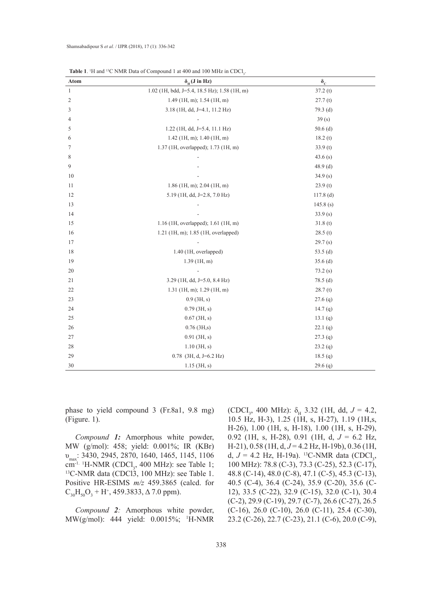| <b>Table 1.</b> <sup>1</sup> H and <sup>13</sup> C NMR Data of Compound 1 at 400 and 100 MHz in CDCl <sub>3</sub> . |                                              |                  |
|---------------------------------------------------------------------------------------------------------------------|----------------------------------------------|------------------|
| Atom                                                                                                                | $\delta_{\rm H}$ (J in Hz)                   | $\delta_{\rm c}$ |
| $\mathbf{1}$                                                                                                        | 1.02 (1H, bdd, J=5.4, 18.5 Hz); 1.58 (1H, m) | 37.2(t)          |
| $\overline{2}$                                                                                                      | $1.49$ (1H, m); 1.54 (1H, m)                 | 27.7(t)          |
| 3                                                                                                                   | 3.18 (1H, dd, J=4.1, 11.2 Hz)                | $79.3$ (d)       |
| 4                                                                                                                   |                                              | 39(s)            |
| 5                                                                                                                   | $1.22$ (1H, dd, J=5.4, 11.1 Hz)              | $50.6$ (d)       |
| 6                                                                                                                   | $1.42$ (1H, m); 1.40 (1H, m)                 | 18.2(t)          |
| 7                                                                                                                   | 1.37 (1H, overlapped); 1.73 (1H, m)          | 33.9(t)          |
| 8                                                                                                                   |                                              | 43.6(s)          |
| 9                                                                                                                   |                                              | $48.9$ (d)       |
| 10                                                                                                                  |                                              | 34.9(s)          |
| 11                                                                                                                  | $1.86$ (1H, m); 2.04 (1H, m)                 | 23.9(t)          |
| 12                                                                                                                  | 5.19 (1H, dd, J=2.8, 7.0 Hz)                 | $117.8$ (d)      |
| 13                                                                                                                  |                                              | 145.8(s)         |
| 14                                                                                                                  |                                              | 33.9(s)          |
| 15                                                                                                                  | 1.16 (1H, overlapped); 1.61 (1H, m)          | 31.8(t)          |
| 16                                                                                                                  | 1.21 (1H, m); 1.85 (1H, overlapped)          | 28.5(t)          |
| 17                                                                                                                  |                                              | 29.7(s)          |
| 18                                                                                                                  | $1.40$ (1H, overlapped)                      | 53.5 $(d)$       |
| 19                                                                                                                  | $1.39$ (1H, m)                               | $35.6$ (d)       |
| 20                                                                                                                  | $\frac{1}{2}$                                | 73.2(s)          |
| 21                                                                                                                  | $3.29$ (1H, dd, J=5.0, 8.4 Hz)               | 78.5(d)          |
| 22                                                                                                                  | $1.31$ (1H, m); 1.29 (1H, m)                 | 28.7(t)          |
| 23                                                                                                                  | $0.9$ (3H, s)                                | $27.6$ (q)       |
| 24                                                                                                                  | $0.79$ (3H, s)                               | 14.7 $(q)$       |
| 25                                                                                                                  | $0.67$ (3H, s)                               | 13.1 $(q)$       |
| 26                                                                                                                  | $0.76$ (3H,s)                                | 22.1(q)          |
| $27\,$                                                                                                              | $0.91$ (3H, s)                               | 27.3(q)          |
| 28                                                                                                                  | $1.10$ (3H, s)                               | 23.2(q)          |
| 29                                                                                                                  | $0.78$ (3H, d, J=6.2 Hz)                     | 18.5 (q)         |
| 30                                                                                                                  | $1.15$ (3H, s)                               | 29.6(q)          |

**Table 1**. <sup>1</sup>H and <sup>13</sup>C NMR Data of Compound 1 at 400 and 100 MHz in CDCl<sub>3</sub>

phase to yield compound 3 (Fr.8a1, 9.8 mg) (Figure. 1).

*Compound 1:* Amorphous white powder, MW (g/mol): 458; yield: 0.001%; IR (KBr) υmax: 3430, 2945, 2870, 1640, 1465, 1145, 1106  $\text{cm}^{-1}$  <sup>1</sup>H-NMR (CDCl<sub>3</sub>, 400 MHz): see Table 1; <sup>13</sup>C-NMR data (CDCl3, 100 MHz): see Table 1. Positive HR-ESIMS *m/z* 459.3865 (calcd. for  $C_{30}H_{50}O_3 + H^+$ , 459.3833,  $\Delta$  7.0 ppm).

*Compound 2:* Amorphous white powder, MW(g/mol): 444 yield: 0.0015%; <sup>1</sup> H-NMR

(CDCI<sub>3</sub>, 400 MHz):  $\delta_{\rm H}$  3.32 (1H, dd,  $J = 4.2$ , 10.5 Hz, H-3), 1.25 (1H, s, H-27), 1.19 (1H,s, H-26), 1.00 (1H, s, H-18), 1.00 (1H, s, H-29), 0.92 (1H, s, H-28), 0.91 (1H, d, *J* = 6.2 Hz, H-21), 0.58 (1H, d, *J* = 4.2 Hz, H-19b), 0.36 (1H, d,  $J = 4.2$  Hz, H-19a). <sup>13</sup>C-NMR data (CDCl<sub>3</sub>, 100 MHz): 78.8 (C-3), 73.3 (C-25), 52.3 (C-17), 48.8 (C-14), 48.0 (C-8), 47.1 (C-5), 45.3 (C-13), 40.5 (C-4), 36.4 (C-24), 35.9 (C-20), 35.6 (C-12), 33.5 (C-22), 32.9 (C-15), 32.0 (C-1), 30.4 (C-2), 29.9 (C-19), 29.7 (C-7), 26.6 (C-27), 26.5 (C-16), 26.0 (C-10), 26.0 (C-11), 25.4 (C-30), 23.2 (C-26), 22.7 (C-23), 21.1 (C-6), 20.0 (C-9),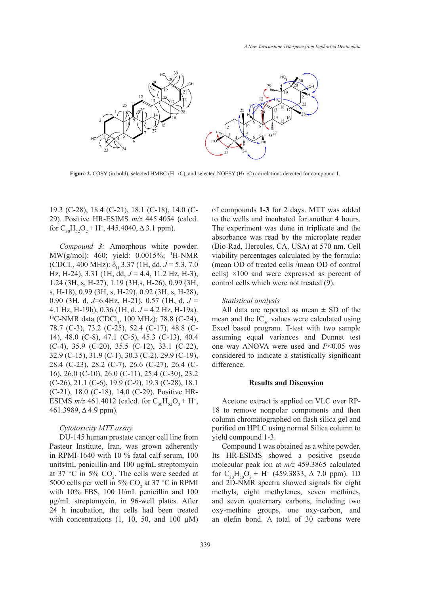

**Figure 2.** COSY (in bold), selected HMBC (H→C), and selected NOESY (H↔C) correlations detected for compound 1. **Figure 2**. COSY (in bold), selected HMBC (H→C), and selected NOESY (H↔C) correlations

19.3 (C-28), 18.4 (C-21), 18.1 (C-18), 14.0 (C-29). Positive HR-ESIMS *m/z* 445.4054 (calcd. for  $C_{30}H_{52}O_2 + H^+$ , 445.4040,  $\Delta$  3.1 ppm).

*Compound 3:* Amorphous white powder. MW(g/mol): 460; yield: 0.0015%; <sup>1</sup> H-NMR  $(CDCI<sub>3</sub>, 400 MHz): \delta_H$  3.37 (1H, dd,  $J = 5.3, 7.0$ ) Hz, H-24), 3.31 (1H, dd,  $J = 4.4$ , 11.2 Hz, H-3), 1.24 (3H, s, H-27), 1.19 (3H,s, H-26), 0.99 (3H, s, H-18), 0.99 (3H, s, H-29), 0.92 (3H, s, H-28), 0.90 (3H, d, *J*=6.4Hz, H-21), 0.57 (1H, d, *J* = 4.1 Hz, H-19b), 0.36 (1H, d,  $J = 4.2$  Hz, H-19a). <sup>13</sup>C-NMR data (CDCl<sub>3</sub>, 100 MHz): 78.8 (C-24), 78.7 (C-3), 73.2 (C-25), 52.4 (C-17), 48.8 (C-14), 48.0 (C-8), 47.1 (C-5), 45.3 (C-13), 40.4 (C-4), 35.9 (C-20), 35.5 (C-12), 33.1 (C-22), 32.9 (C-15), 31.9 (C-1), 30.3 (C-2), 29.9 (C-19), 28.4 (C-23), 28.2 (C-7), 26.6 (C-27), 26.4 (C-16), 26.0 (C-10), 26.0 (C-11), 25.4 (C-30), 23.2 (C-26), 21.1 (C-6), 19.9 (C-9), 19.3 (C-28), 18.1 (C-21), 18.0 (C-18), 14.0 (C-29). Positive HR-ESIMS  $m/z$  461.4012 (calcd. for  $C_{30}H_{52}O_3 + H^+$ , 461.3989, Δ 4.9 ppm).

## *Cytotoxicity MTT assay*

DU-145 human prostate cancer cell line from Pasteur Institute, Iran, was grown adherently in RPMI-1640 with 10 % fatal calf serum, 100 units⁄mL penicillin and 100 μg⁄mL streptomycin at 37 °C in 5%  $CO<sub>2</sub>$ . The cells were seeded at 5000 cells per well in 5%  $CO_2$  at 37 °C in RPMI with 10% FBS, 100 U/mL penicillin and 100 µg/mL streptomycin, in 96-well plates. After 24 h incubation, the cells had been treated with concentrations  $(1, 10, 50, \text{ and } 100 \mu M)$ 

of compounds **1**-**3** for 2 days. MTT was added to the wells and incubated for another 4 hours. The experiment was done in triplicate and the absorbance was read by the microplate reader (Bio-Rad, Hercules, CA, USA) at 570 nm. Cell viability percentages calculated by the formula: (mean OD of treated cells /mean OD of control cells) ×100 and were expressed as percent of control cells which were not treated (9).

#### *Statistical analysis*

All data are reported as mean  $\pm$  SD of the mean and the  $IC_{50}$  values were calculated using Excel based program. T-test with two sample assuming equal variances and Dunnet test one way ANOVA were used and *P*<0.05 was considered to indicate a statistically significant difference.

### **Results and Discussion**

Acetone extract is applied on VLC over RP-18 to remove nonpolar components and then column chromatographed on flash silica gel and purified on HPLC using normal Silica column to yield compound 1-3.

Compound **1** was obtained as a white powder. Its HR-ESIMS showed a positive pseudo molecular peak ion at *m/z* 459.3865 calculated for  $C_{30}H_{50}O_3 + H^+$  (459.3833,  $\Delta$  7.0 ppm). 1D and 2D-NMR spectra showed signals for eight methyls, eight methylenes, seven methines, and seven quaternary carbons, including two oxy-methine groups, one oxy-carbon, and an olefin bond. A total of 30 carbons were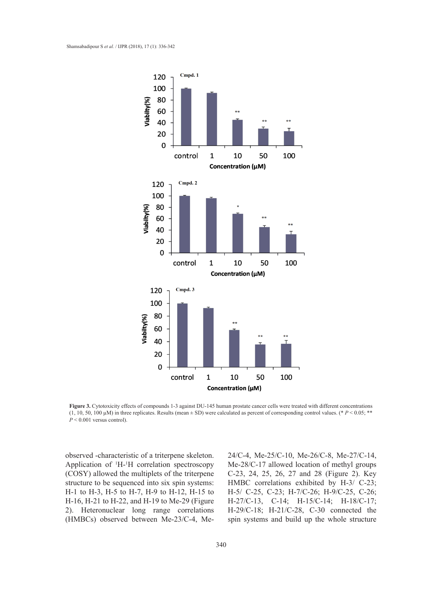

**Figure 3.** Cytotoxicity effects of compounds 1-3 against DU-145 human prostate cancer cells were treated with different concentrations (1, 10, 50, 100  $\mu$ M) in three replicates. Results (mean  $\pm$  SD) were calculated as percent of corresponding control values. (\* *P* < 0.05; \*\*<br>*P* < 0.001 versus control).

observed -characteristic of a triterpene skeleton. Application of <sup>1</sup>H-<sup>1</sup>H correlation spectroscopy (COSY) allowed the multiplets of the triterpene structure to be sequenced into six spin systems: H-1 to H-3, H-5 to H-7, H-9 to H-12, H-15 to H-16, H-21 to H-22, and H-19 to Me-29 (Figure 2). Heteronuclear long range correlations (HMBCs) observed between Me-23/C-4, Me24/C-4, Me-25/C-10, Me-26/C-8, Me-27/C-14, Me-28/C-17 allowed location of methyl groups C-23, 24, 25, 26, 27 and 28 (Figure 2). Key HMBC correlations exhibited by H-3/ C-23; H-5/ C-25, C-23; H-7/C-26; H-9/C-25, C-26; H-27/C-13, C-14; H-15/C-14; H-18/C-17; H-29/C-18; H-21/C-28, C-30 connected the spin systems and build up the whole structure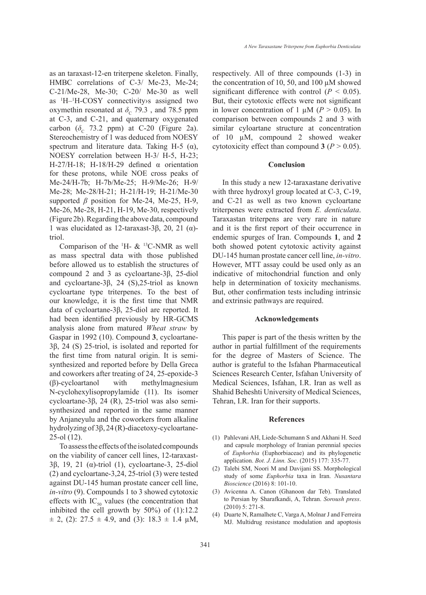as an taraxast-12-en triterpene skeleton. Finally, HMBC correlations of C-3/ Me-23, Me-24; C-21/Me-28, Me-30; C-20/ Me-30 as well as 1 H–1 H-COSY connectivity›s assigned two oxymethin resonated at  $\delta$ <sub>C</sub> 79.3, and 78.5 ppm at C-3, and C-21, and quaternary oxygenated carbon ( $\delta_c$  73.2 ppm) at C-20 (Figure 2a). Stereochemistry of 1 was deduced from NOESY spectrum and literature data. Taking H-5 ( $\alpha$ ), NOESY correlation between H-3/ H-5, H-23; H-27/H-18; H-18/H-29 defined  $\alpha$  orientation for these protons, while NOE cross peaks of Me-24/H-7b; H-7b/Me-25; H-9/Me-26; H-9/ Me-28; Me-28/H-21; H-21/H-19; H-21/Me-30 supported *β* position for Me-24, Me-25, H-9, Me-26, Me-28, H-21, H-19, Me-30, respectively (Figure 2b). Regarding the above data, compound 1 was elucidated as 12-taraxast-3β, 20, 21 (α) triol.

Comparison of the  $^1$ H- &  $^{13}$ C-NMR as well as mass spectral data with those published before allowed us to establish the structures of compound 2 and 3 as cycloartane-3β, 25-diol and cycloartane-3β, 24 (S),25-triol as known cycloartane type triterpenes. To the best of our knowledge, it is the first time that NMR data of cycloartane-3β, 25-diol are reported. It had been identified previously by HR-GCMS analysis alone from matured *Wheat straw* by Gaspar in 1992 (10). Compound **3**, cycloartane-3β, 24 (S) 25-triol, is isolated and reported for the first time from natural origin. It is semisynthesized and reported before by Della Greca and coworkers after treating of 24, 25-epoxide-3 (β)-cycloartanol with methylmagnesium N-cyclohexylisopropylamide (11). Its isomer cycloartane-3β, 24 (R), 25-triol was also semisynthesized and reported in the same manner by Anjaneyulu and the coworkers from alkaline hydrolyzing of 3β, 24 (R)-diacetoxy-cycloartane-25-ol (12).

To assess the effects of the isolated compounds on the viability of cancer cell lines, 12-taraxast-3β, 19, 21 (α)-triol (1), cycloartane-3, 25-diol (2) and cycloartane-3,24, 25-triol (3) were tested against DU-145 human prostate cancer cell line, *in-vitro* (9). Compounds 1 to 3 showed cytotoxic effects with  $IC_{50}$  values (the concentration that inhibited the cell growth by 50%) of (1):12.2  $\pm$  2, (2): 27.5  $\pm$  4.9, and (3): 18.3  $\pm$  1.4  $\mu$ M,

respectively. All of three compounds (1-3) in the concentration of 10, 50, and 100 µM showed significant difference with control  $(P < 0.05)$ . But, their cytotoxic effects were not significant in lower concentration of 1  $\mu$ M (*P* > 0.05). In comparison between compounds 2 and 3 with similar cyloartane structure at concentration of 10 µM, compound 2 showed weaker cytotoxicity effect than compound  $3 (P > 0.05)$ .

#### **Conclusion**

In this study a new 12-taraxastane derivative with three hydroxyl group located at C-3, C-19, and C-21 as well as two known cycloartane triterpenes were extracted from *E. denticulata*. Taraxastan triterpens are very rare in nature and it is the first report of their occurrence in endemic spurges of Iran. Compounds **1**, and **2** both showed potent cytotoxic activity against DU-145 human prostate cancer cell line, *in-vitro*. However, MTT assay could be used only as an indicative of mitochondrial function and only help in determination of toxicity mechanisms. But, other confirmation tests including intrinsic and extrinsic pathways are required.

### **Acknowledgements**

This paper is part of the thesis written by the author in partial fulfillment of the requirements for the degree of Masters of Science. The author is grateful to the Isfahan Pharmaceutical Sciences Research Center, Isfahan University of Medical Sciences, Isfahan, I.R. Iran as well as Shahid Beheshti University of Medical Sciences, Tehran, I.R. Iran for their supports.

#### **References**

- Pahlevani AH, Liede-Schumann S and Akhani H. Seed (1) and capsule morphology of Iranian perennial species of *Euphorbia* (Euphorbiaceae) and its phylogenetic application. *Bot. J. Linn. Soc*. (2015) 177: 335-77.
- Talebi SM, Noori M and Davijani SS. Morphological (2) study of some *Euphorbia* taxa in Iran. *Nusantara Bioscience* (2016) 8: 101-10.
- Avicenna A. Canon (Ghanoon dar Teb). Translated (3) to Persian by Sharafkandi, A, Tehran. *Soroush press*. (2010) 5: 271-8.
- (4) Duarte N, Ramalhete C, Varga A, Molnar J and Ferreira MJ. Multidrug resistance modulation and apoptosis